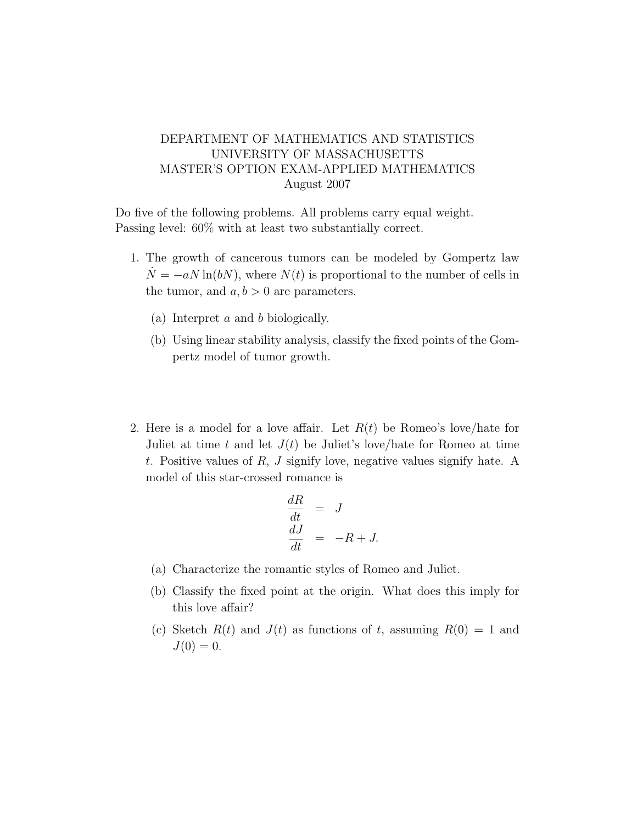## DEPARTMENT OF MATHEMATICS AND STATISTICS UNIVERSITY OF MASSACHUSETTS MASTER'S OPTION EXAM-APPLIED MATHEMATICS August 2007

Do five of the following problems. All problems carry equal weight. Passing level: 60% with at least two substantially correct.

- 1. The growth of cancerous tumors can be modeled by Gompertz law  $\dot{N} = -aN \ln(bN)$ , where  $N(t)$  is proportional to the number of cells in the tumor, and  $a, b > 0$  are parameters.
	- (a) Interpret a and b biologically.
	- (b) Using linear stability analysis, classify the fixed points of the Gompertz model of tumor growth.
- 2. Here is a model for a love affair. Let  $R(t)$  be Romeo's love/hate for Juliet at time t and let  $J(t)$  be Juliet's love/hate for Romeo at time t. Positive values of  $R$ ,  $J$  signify love, negative values signify hate. A model of this star-crossed romance is

$$
\begin{aligned}\n\frac{dR}{dt} &= J\\
\frac{dJ}{dt} &= -R + J.\n\end{aligned}
$$

- (a) Characterize the romantic styles of Romeo and Juliet.
- (b) Classify the fixed point at the origin. What does this imply for this love affair?
- (c) Sketch  $R(t)$  and  $J(t)$  as functions of t, assuming  $R(0) = 1$  and  $J(0) = 0.$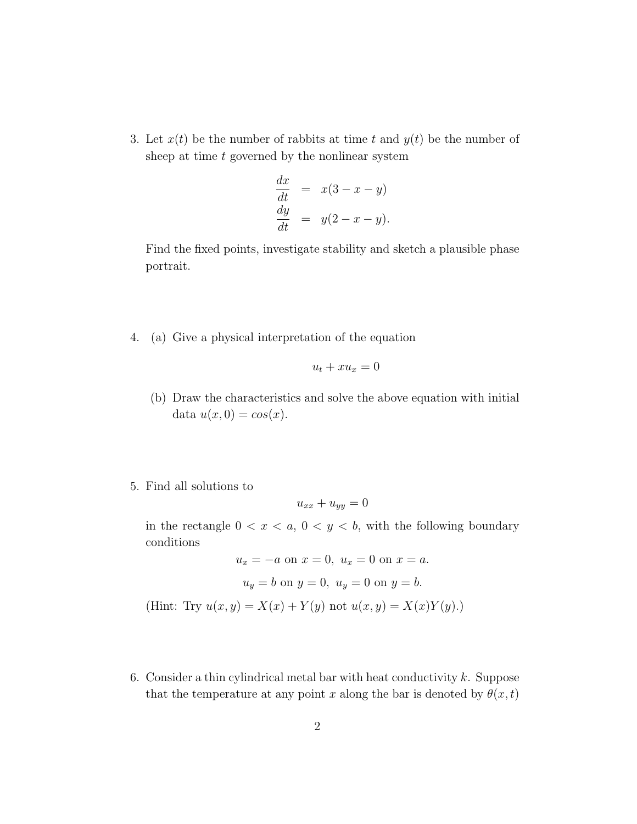3. Let  $x(t)$  be the number of rabbits at time t and  $y(t)$  be the number of sheep at time  $t$  governed by the nonlinear system

$$
\frac{dx}{dt} = x(3 - x - y)
$$
  

$$
\frac{dy}{dt} = y(2 - x - y).
$$

Find the fixed points, investigate stability and sketch a plausible phase portrait.

4. (a) Give a physical interpretation of the equation

$$
u_t + x u_x = 0
$$

- (b) Draw the characteristics and solve the above equation with initial data  $u(x, 0) = cos(x)$ .
- 5. Find all solutions to

$$
u_{xx} + u_{yy} = 0
$$

in the rectangle  $0 < x < a, 0 < y < b$ , with the following boundary conditions

$$
u_x = -a \text{ on } x = 0, u_x = 0 \text{ on } x = a.
$$

$$
u_y = b \text{ on } y = 0, u_y = 0 \text{ on } y = b.
$$
(Hint: Try  $u(x, y) = X(x) + Y(y)$  not  $u(x, y) = X(x)Y(y)$ .)

6. Consider a thin cylindrical metal bar with heat conductivity  $k$ . Suppose that the temperature at any point x along the bar is denoted by  $\theta(x, t)$